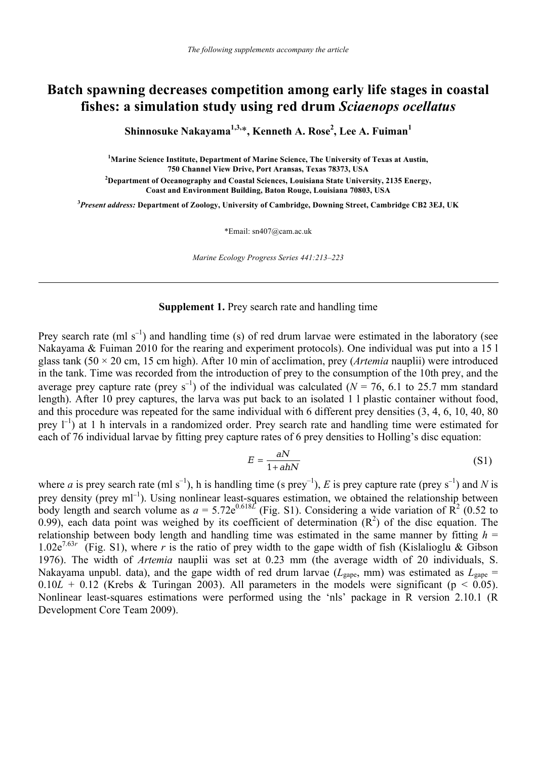# **Batch spawning decreases competition among early life stages in coastal fishes: a simulation study using red drum** *Sciaenops ocellatus*

**Shinnosuke Nakayama1,3,**\***, Kenneth A. Rose<sup>2</sup> , Lee A. Fuiman1**

<sup>1</sup> Marine Science Institute, Department of Marine Science, The University of Texas at Austin, **750 Channel View Drive, Port Aransas, Texas 78373, USA 2 Department of Oceanography and Coastal Sciences, Louisiana State University, 2135 Energy, Coast and Environment Building, Baton Rouge, Louisiana 70803, USA** 

**3** *Present address:* **Department of Zoology, University of Cambridge, Downing Street, Cambridge CB2 3EJ, UK** 

\*Email: sn407@cam.ac.uk

*Marine Ecology Progress Series 441:213–223*

## **Supplement 1.** Prey search rate and handling time

Prey search rate (ml s<sup>-1</sup>) and handling time (s) of red drum larvae were estimated in the laboratory (see Nakayama & Fuiman 2010 for the rearing and experiment protocols). One individual was put into a 15 l glass tank (50 × 20 cm, 15 cm high). After 10 min of acclimation, prey (*Artemia* nauplii) were introduced in the tank. Time was recorded from the introduction of prey to the consumption of the 10th prey, and the average prey capture rate (prey s<sup>-1</sup>) of the individual was calculated ( $N = 76$ , 6.1 to 25.7 mm standard length). After 10 prey captures, the larva was put back to an isolated 1 l plastic container without food, and this procedure was repeated for the same individual with 6 different prey densities (3, 4, 6, 10, 40, 80 prey  $l^{-1}$ ) at 1 h intervals in a randomized order. Prey search rate and handling time were estimated for each of 76 individual larvae by fitting prey capture rates of 6 prey densities to Holling's disc equation:

$$
E = \frac{aN}{1 + ahN} \tag{S1}
$$

where *a* is prey search rate (ml s<sup>-1</sup>), h is handling time (s prey<sup>-1</sup>), *E* is prey capture rate (prey s<sup>-1</sup>) and *N* is prey density (prey ml<sup>-1</sup>). Using nonlinear least-squares estimation, we obtained the relationship between body length and search volume as  $a = 5.72e^{0.618L}$  (Fig. S1). Considering a wide variation of  $\mathbb{R}^2$  (0.52 to 0.99), each data point was weighed by its coefficient of determination  $(R^2)$  of the disc equation. The relationship between body length and handling time was estimated in the same manner by fitting  $h =$ 1.02e<sup>7.63r</sup> (Fig. S1), where *r* is the ratio of prey width to the gape width of fish (Kislalioglu & Gibson 1976). The width of *Artemia* nauplii was set at 0.23 mm (the average width of 20 individuals, S. Nakayama unpubl. data), and the gape width of red drum larvae ( $L_{\text{gape}}$ , mm) was estimated as  $L_{\text{gape}}$  =  $0.10L + 0.12$  (Krebs & Turingan 2003). All parameters in the models were significant ( $p < 0.05$ ). Nonlinear least-squares estimations were performed using the 'nls' package in R version 2.10.1 (R Development Core Team 2009).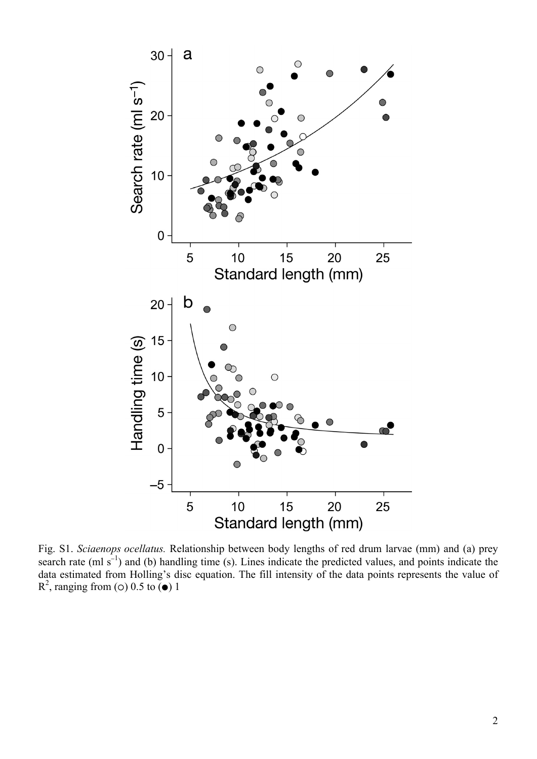

Fig. S1. *Sciaenops ocellatus.* Relationship between body lengths of red drum larvae (mm) and (a) prey search rate (ml s<sup>-1</sup>) and (b) handling time (s). Lines indicate the predicted values, and points indicate the data estimated from Holling's disc equation. The fill intensity of the data points represents the value of  $R^2$ , ranging from (o) 0.5 to ( $\bullet$ ) 1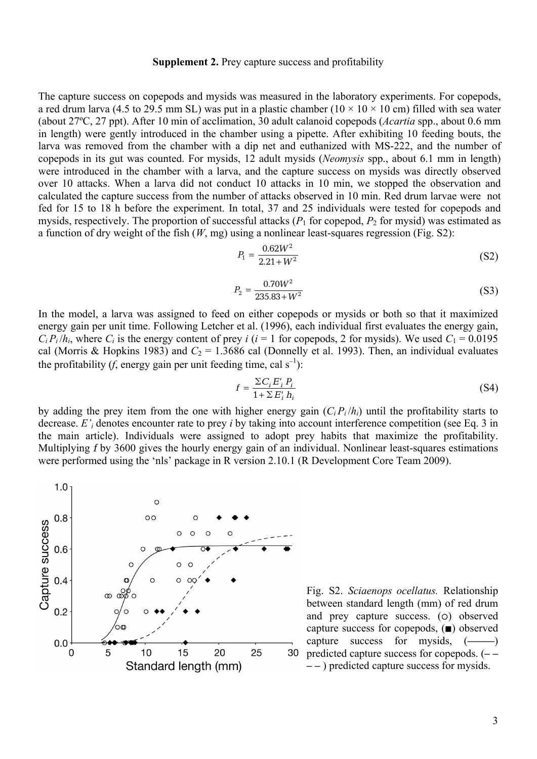## **Supplement 2.** Prey capture success and profitability

The capture success on copepods and mysids was measured in the laboratory experiments. For copepods, a red drum larva (4.5 to 29.5 mm SL) was put in a plastic chamber ( $10 \times 10 \times 10$  cm) filled with sea water (about 27ºC, 27 ppt). After 10 min of acclimation, 30 adult calanoid copepods (*Acartia* spp., about 0.6 mm in length) were gently introduced in the chamber using a pipette. After exhibiting 10 feeding bouts, the larva was removed from the chamber with a dip net and euthanized with MS-222, and the number of copepods in its gut was counted. For mysids, 12 adult mysids (*Neomysis* spp., about 6.1 mm in length) were introduced in the chamber with a larva, and the capture success on mysids was directly observed over 10 attacks. When a larva did not conduct 10 attacks in 10 min, we stopped the observation and calculated the capture success from the number of attacks observed in 10 min. Red drum larvae were not fed for 15 to 18 h before the experiment. In total, 37 and 25 individuals were tested for copepods and mysids, respectively. The proportion of successful attacks  $(P_1$  for copepod,  $P_2$  for mysid) was estimated as a function of dry weight of the fish (*W*, mg) using a nonlinear least-squares regression (Fig. S2):

$$
P_1 = \frac{0.62W^2}{2.21 + W^2} \tag{S2}
$$

$$
P_2 = \frac{0.70W^2}{235.83 + W^2} \tag{S3}
$$

In the model, a larva was assigned to feed on either copepods or mysids or both so that it maximized energy gain per unit time. Following Letcher et al. (1996), each individual first evaluates the energy gain,  $C_i P_i / h_i$ , where  $C_i$  is the energy content of prey *i* (*i* = 1 for copepods, 2 for mysids). We used  $C_1 = 0.0195$ cal (Morris & Hopkins 1983) and  $C_2 = 1.3686$  cal (Donnelly et al. 1993). Then, an individual evaluates the profitability (*f*, energy gain per unit feeding time, cal  $s^{-1}$ ):

$$
f = \frac{\sum C_i E'_i P_i}{1 + \sum E'_i h_i} \tag{S4}
$$

by adding the prey item from the one with higher energy gain  $(C_i P_i / h_i)$  until the profitability starts to decrease. *E'i* denotes encounter rate to prey *i* by taking into account interference competition (see Eq. 3 in the main article). Individuals were assigned to adopt prey habits that maximize the profitability. Multiplying f by 3600 gives the hourly energy gain of an individual. Nonlinear least-squares estimations were performed using the 'nls' package in R version 2.10.1 (R Development Core Team 2009).



Fig. S2. *Sciaenops ocellatus.* Relationship between standard length (mm) of red drum and prey capture success.  $(o)$  observed capture success for copepods,  $(\blacksquare)$  observed capture success for mysids,  $(\_\_)$ predicted capture success for copepods. (**– – – –** ) predicted capture success for mysids.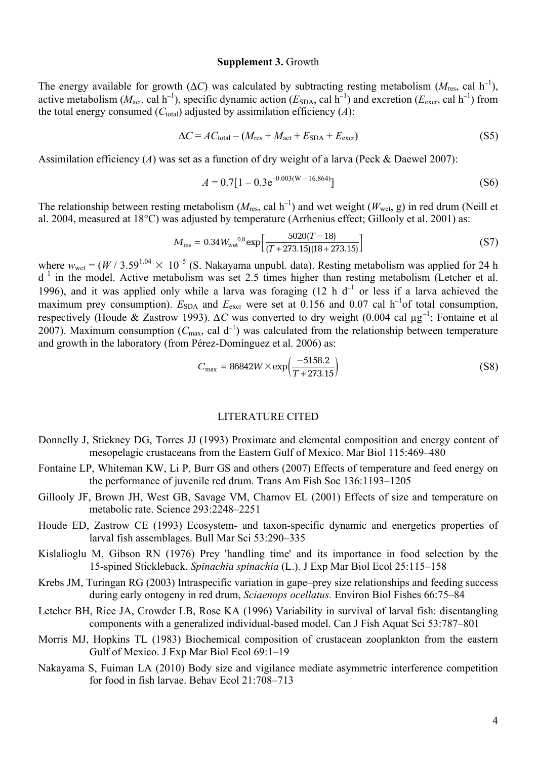#### **Supplement 3.** Growth

The energy available for growth ( $\Delta C$ ) was calculated by subtracting resting metabolism ( $M_{res}$ , cal h<sup>-1</sup>), active metabolism ( $M_{\text{act}}$ , cal h<sup>-1</sup>), specific dynamic action ( $E_{\text{SDA}}$ , cal h<sup>-1</sup>) and excretion ( $E_{\text{exc}}$ , cal h<sup>-1</sup>) from the total energy consumed  $(C_{total})$  adjusted by assimilation efficiency  $(A)$ :

$$
\Delta C = AC_{\text{total}} - (M_{\text{res}} + M_{\text{act}} + E_{\text{SDA}} + E_{\text{excr}})
$$
\n(S5)

Assimilation efficiency (*A*) was set as a function of dry weight of a larva (Peck & Daewel 2007):

$$
A = 0.7[1 - 0.3e^{-0.003(W - 16.864)}]
$$
\n(S6)

The relationship between resting metabolism ( $M_{res}$ , cal h<sup>-1</sup>) and wet weight ( $W_{wet}$ , g) in red drum (Neill et al. 2004, measured at 18°C) was adjusted by temperature (Arrhenius effect; Gillooly et al. 2001) as:

$$
M_{\rm res} = 0.34 W_{\rm wet}^{0.8} \exp\left[\frac{5020(T-18)}{(T+273.15)(18+273.15)}\right]
$$
(S7)

where  $w_{wet} = (W / 3.59^{1.04} \times 10^{-5}$  (S. Nakayama unpubl. data). Resting metabolism was applied for 24 h  $d^{-1}$  in the model. Active metabolism was set 2.5 times higher than resting metabolism (Letcher et al. 1996), and it was applied only while a larva was foraging (12 h  $d^{-1}$  or less if a larva achieved the maximum prey consumption).  $E_{SDA}$  and  $E_{excr}$  were set at 0.156 and 0.07 cal h<sup>-1</sup>of total consumption, respectively (Houde & Zastrow 1993). *ΔC* was converted to dry weight (0.004 cal µg<sup>−</sup><sup>1</sup> ; Fontaine et al 2007). Maximum consumption ( $C_{\text{max}}$ , cal d<sup>-1</sup>) was calculated from the relationship between temperature and growth in the laboratory (from Pérez-Domínguez et al. 2006) as:

$$
C_{\text{max}} = 86842W \times \exp\left(\frac{-5158.2}{T + 273.15}\right) \tag{S8}
$$

#### LITERATURE CITED

- Donnelly J, Stickney DG, Torres JJ (1993) Proximate and elemental composition and energy content of mesopelagic crustaceans from the Eastern Gulf of Mexico. Mar Biol 115:469–480
- Fontaine LP, Whiteman KW, Li P, Burr GS and others (2007) Effects of temperature and feed energy on the performance of juvenile red drum. Trans Am Fish Soc 136:1193–1205
- Gillooly JF, Brown JH, West GB, Savage VM, Charnov EL (2001) Effects of size and temperature on metabolic rate. Science 293:2248–2251
- Houde ED, Zastrow CE (1993) Ecosystem- and taxon-specific dynamic and energetics properties of larval fish assemblages. Bull Mar Sci 53:290–335
- Kislalioglu M, Gibson RN (1976) Prey 'handling time' and its importance in food selection by the 15-spined Stickleback, *Spinachia spinachia* (L.). J Exp Mar Biol Ecol 25:115–158
- Krebs JM, Turingan RG (2003) Intraspecific variation in gape–prey size relationships and feeding success during early ontogeny in red drum, *Sciaenops ocellatus.* Environ Biol Fishes 66:75–84
- Letcher BH, Rice JA, Crowder LB, Rose KA (1996) Variability in survival of larval fish: disentangling components with a generalized individual-based model. Can J Fish Aquat Sci 53:787–801
- Morris MJ, Hopkins TL (1983) Biochemical composition of crustacean zooplankton from the eastern Gulf of Mexico. J Exp Mar Biol Ecol 69:1–19
- Nakayama S, Fuiman LA (2010) Body size and vigilance mediate asymmetric interference competition for food in fish larvae. Behav Ecol 21:708–713